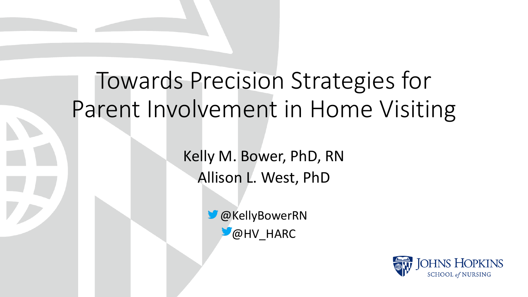# Towards Precision Strategies for Parent Involvement in Home Visiting

Kelly M. Bower, PhD, RN Allison L. West, PhD

> **W** @KellyBowerRN  $^{\bullet}$ @HV HARC

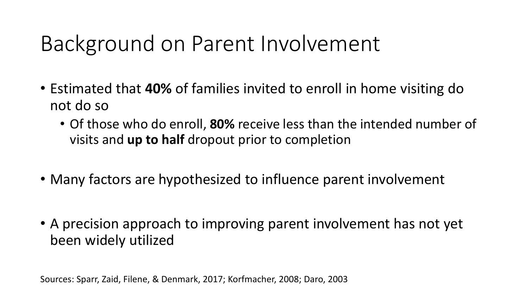# Background on Parent Involvement

- Estimated that **40%** of families invited to enroll in home visiting do not do so
	- Of those who do enroll, **80%** receive less than the intended number of visits and **up to half** dropout prior to completion
- Many factors are hypothesized to influence parent involvement
- A precision approach to improving parent involvement has not yet been widely utilized

Sources: Sparr, Zaid, Filene, & Denmark, 2017; Korfmacher, 2008; Daro, 2003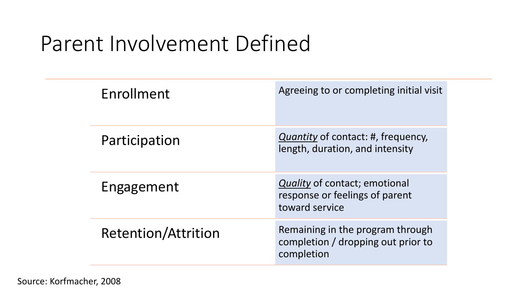# Parent Involvement Defined

| Enrollment                 | Agreeing to or completing initial visit                                                  |
|----------------------------|------------------------------------------------------------------------------------------|
| Participation              | <i>Quantity</i> of contact: #, frequency,<br>length, duration, and intensity             |
| Engagement                 | <i>Quality</i> of contact; emotional<br>response or feelings of parent<br>toward service |
| <b>Retention/Attrition</b> | Remaining in the program through<br>completion / dropping out prior to<br>completion     |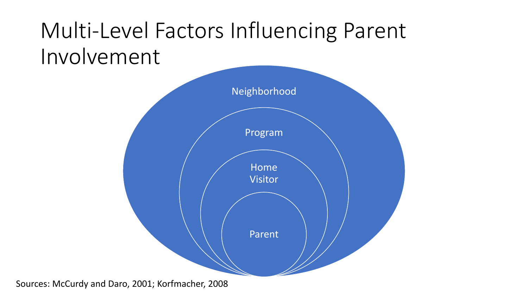# Multi-Level Factors Influencing Parent Involvement



Sources: McCurdy and Daro, 2001; Korfmacher, 2008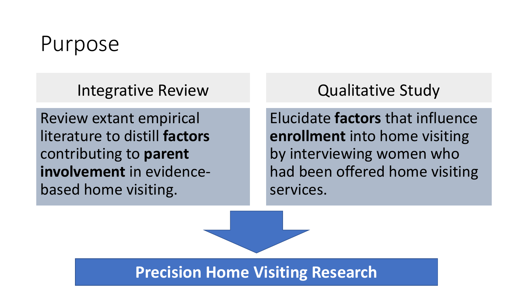#### Purpose

Integrative Review

Review extant empirical literature to distill **factors**  contributing to **parent involvement** in evidencebased home visiting.

Qualitative Study

Elucidate **factors** that influence **enrollment** into home visiting by interviewing women who had been offered home visiting services.

**Precision Home Visiting Research**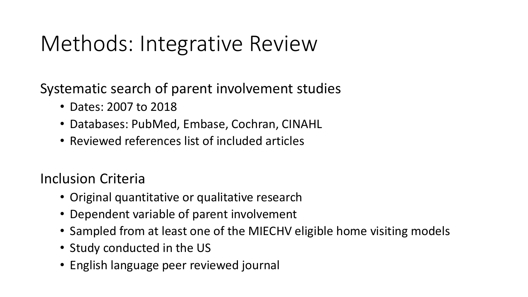# Methods: Integrative Review

Systematic search of parent involvement studies

- Dates: 2007 to 2018
- Databases: PubMed, Embase, Cochran, CINAHL
- Reviewed references list of included articles

Inclusion Criteria

- Original quantitative or qualitative research
- Dependent variable of parent involvement
- Sampled from at least one of the MIECHV eligible home visiting models
- Study conducted in the US
- English language peer reviewed journal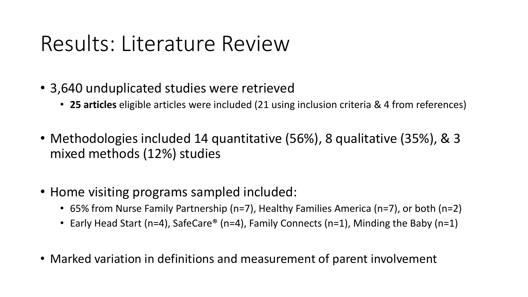#### Results: Literature Review

- 3,640 unduplicated studies were retrieved
	- **25 articles** eligible articles were included (21 using inclusion criteria & 4 from references)
- Methodologies included 14 quantitative (56%), 8 qualitative (35%), & 3 mixed methods (12%) studies
- Home visiting programs sampled included:
	- 65% from Nurse Family Partnership (n=7), Healthy Families America (n=7), or both (n=2)
	- Early Head Start (n=4), SafeCare® (n=4), Family Connects (n=1), Minding the Baby (n=1)
- Marked variation in definitions and measurement of parent involvement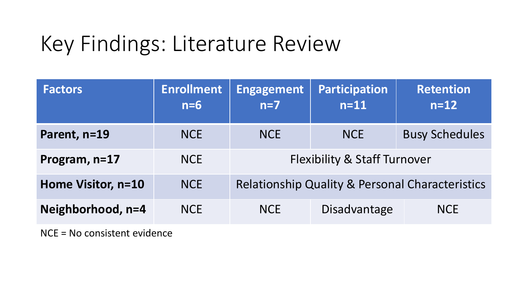# Key Findings: Literature Review

| <b>Factors</b>     | <b>Enrollment</b><br>$n=6$ | <b>Engagement</b><br>$n=7$                                 | <b>Participation</b><br>$n=11$ | <b>Retention</b><br>$n=12$ |  |  |
|--------------------|----------------------------|------------------------------------------------------------|--------------------------------|----------------------------|--|--|
| Parent, n=19       | <b>NCE</b>                 | <b>NCE</b>                                                 | <b>NCE</b>                     | <b>Busy Schedules</b>      |  |  |
| Program, n=17      | <b>NCE</b>                 | <b>Flexibility &amp; Staff Turnover</b>                    |                                |                            |  |  |
| Home Visitor, n=10 | <b>NCE</b>                 | <b>Relationship Quality &amp; Personal Characteristics</b> |                                |                            |  |  |
| Neighborhood, n=4  | <b>NCE</b>                 | <b>NCE</b>                                                 | Disadvantage                   | <b>NCE</b>                 |  |  |

NCE = No consistent evidence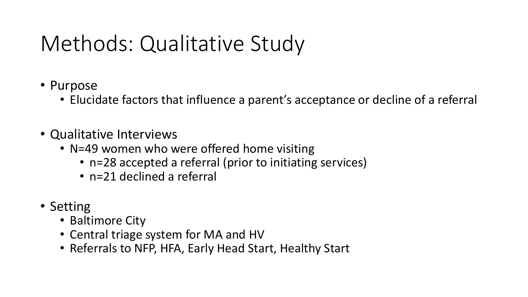# Methods: Qualitative Study

- Purpose
	- Elucidate factors that influence a parent's acceptance or decline of a referral
- Qualitative Interviews
	- N=49 women who were offered home visiting
		- n=28 accepted a referral (prior to initiating services)
		- n=21 declined a referral
- Setting
	- Baltimore City
	- Central triage system for MA and HV
	- Referrals to NFP, HFA, Early Head Start, Healthy Start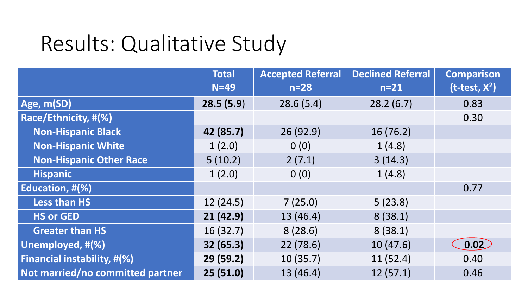|                                  | <b>Total</b><br>$N=49$ | <b>Accepted Referral</b><br>$n=28$ | <b>Declined Referral</b><br>$n=21$ | <b>Comparison</b><br>$(t-test, X2)$ |
|----------------------------------|------------------------|------------------------------------|------------------------------------|-------------------------------------|
| Age, m(SD)                       | 28.5(5.9)              | 28.6(5.4)                          | 28.2(6.7)                          | 0.83                                |
| Race/Ethnicity, #(%)             |                        |                                    |                                    | 0.30                                |
| <b>Non-Hispanic Black</b>        | 42 (85.7)              | 26 (92.9)                          | 16(76.2)                           |                                     |
| <b>Non-Hispanic White</b>        | 1(2.0)                 | 0(0)                               | 1(4.8)                             |                                     |
| <b>Non-Hispanic Other Race</b>   | 5(10.2)                | 2(7.1)                             | 3(14.3)                            |                                     |
| <b>Hispanic</b>                  | 1(2.0)                 | 0(0)                               | 1(4.8)                             |                                     |
| Education, #(%)                  |                        |                                    |                                    | 0.77                                |
| <b>Less than HS</b>              | 12(24.5)               | 7(25.0)                            | 5(23.8)                            |                                     |
| <b>HS or GED</b>                 | 21(42.9)               | 13(46.4)                           | 8(38.1)                            |                                     |
| <b>Greater than HS</b>           | 16(32.7)               | 8(28.6)                            | 8(38.1)                            |                                     |
| Unemployed, #(%)                 | 32(65.3)               | 22(78.6)                           | 10(47.6)                           | $\left[0.02\right]$                 |
| Financial instability, #(%)      | 29(59.2)               | 10(35.7)                           | 11(52.4)                           | 0.40                                |
| Not married/no committed partner | 25(51.0)               | 13 (46.4)                          | 12(57.1)                           | 0.46                                |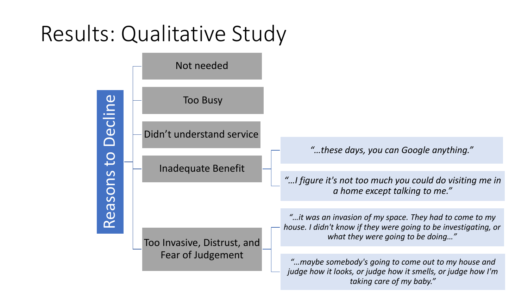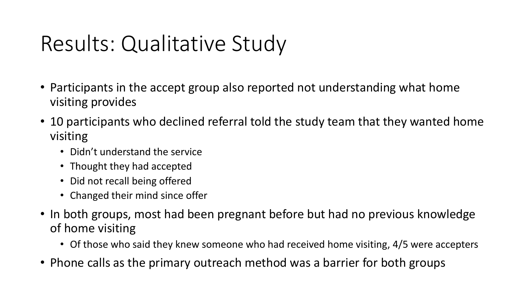- Participants in the accept group also reported not understanding what home visiting provides
- 10 participants who declined referral told the study team that they wanted home visiting
	- Didn't understand the service
	- Thought they had accepted
	- Did not recall being offered
	- Changed their mind since offer
- In both groups, most had been pregnant before but had no previous knowledge of home visiting
	- Of those who said they knew someone who had received home visiting, 4/5 were accepters
- Phone calls as the primary outreach method was a barrier for both groups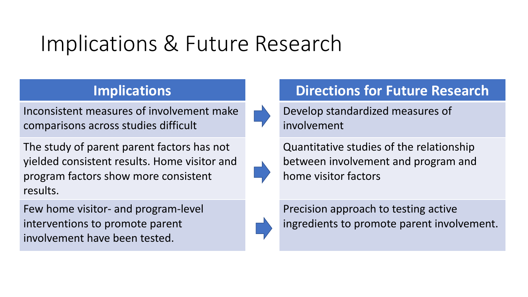## Implications & Future Research

Inconsistent measures of involvement make comparisons across studies difficult

The study of parent parent factors has not yielded consistent results. Home visitor and program factors show more consistent results.

Few home visitor- and program-level interventions to promote parent involvement have been tested.



#### **Implications The Constructions in the Directions for Future Research**

Develop standardized measures of involvement

Quantitative studies of the relationship between involvement and program and home visitor factors

Precision approach to testing active ingredients to promote parent involvement.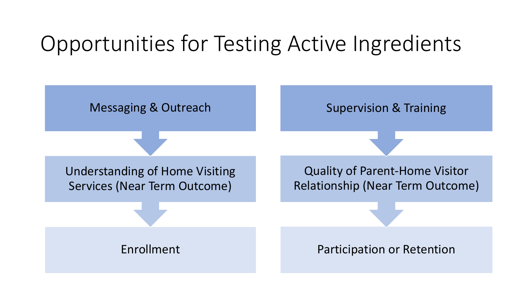# Opportunities for Testing Active Ingredients

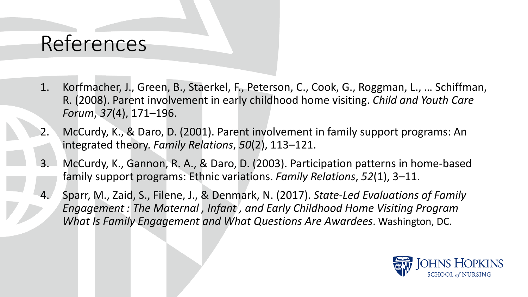#### References

- 1. Korfmacher, J., Green, B., Staerkel, F., Peterson, C., Cook, G., Roggman, L., … Schiffman, R. (2008). Parent involvement in early childhood home visiting. *Child and Youth Care Forum*, *37*(4), 171–196.
- McCurdy, K., & Daro, D. (2001). Parent involvement in family support programs: An integrated theory. *Family Relations*, *50*(2), 113–121.
- 3. McCurdy, K., Gannon, R. A., & Daro, D. (2003). Participation patterns in home-based family support programs: Ethnic variations. *Family Relations*, *52*(1), 3–11.
- 4. Sparr, M., Zaid, S., Filene, J., & Denmark, N. (2017). *State-Led Evaluations of Family Engagement : The Maternal , Infant , and Early Childhood Home Visiting Program What Is Family Engagement and What Questions Are Awardees*. Washington, DC.

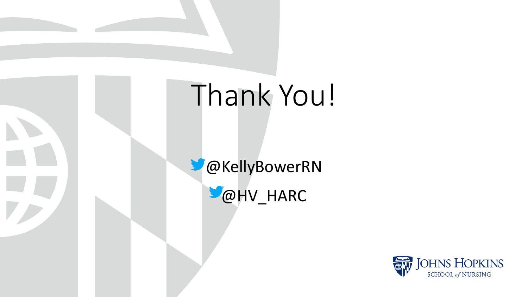